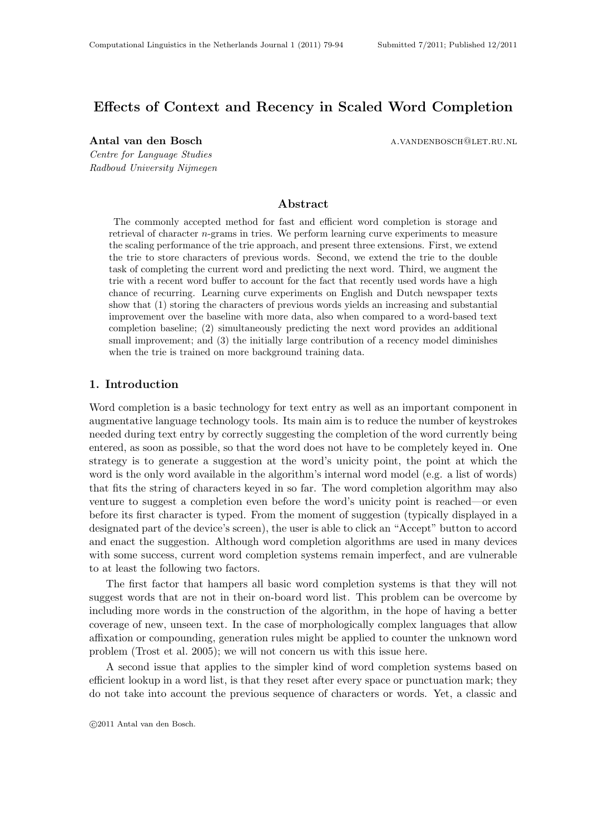# Effects of Context and Recency in Scaled Word Completion

Centre for Language Studies Radboud University Nijmegen

Antal van den Bosch a.vandenbosch@let.ru.nl

# Abstract

The commonly accepted method for fast and efficient word completion is storage and retrieval of character n-grams in tries. We perform learning curve experiments to measure the scaling performance of the trie approach, and present three extensions. First, we extend the trie to store characters of previous words. Second, we extend the trie to the double task of completing the current word and predicting the next word. Third, we augment the trie with a recent word buffer to account for the fact that recently used words have a high chance of recurring. Learning curve experiments on English and Dutch newspaper texts show that (1) storing the characters of previous words yields an increasing and substantial improvement over the baseline with more data, also when compared to a word-based text completion baseline; (2) simultaneously predicting the next word provides an additional small improvement; and (3) the initially large contribution of a recency model diminishes when the trie is trained on more background training data.

# 1. Introduction

Word completion is a basic technology for text entry as well as an important component in augmentative language technology tools. Its main aim is to reduce the number of keystrokes needed during text entry by correctly suggesting the completion of the word currently being entered, as soon as possible, so that the word does not have to be completely keyed in. One strategy is to generate a suggestion at the word's unicity point, the point at which the word is the only word available in the algorithm's internal word model (e.g. a list of words) that fits the string of characters keyed in so far. The word completion algorithm may also venture to suggest a completion even before the word's unicity point is reached—or even before its first character is typed. From the moment of suggestion (typically displayed in a designated part of the device's screen), the user is able to click an "Accept" button to accord and enact the suggestion. Although word completion algorithms are used in many devices with some success, current word completion systems remain imperfect, and are vulnerable to at least the following two factors.

The first factor that hampers all basic word completion systems is that they will not suggest words that are not in their on-board word list. This problem can be overcome by including more words in the construction of the algorithm, in the hope of having a better coverage of new, unseen text. In the case of morphologically complex languages that allow affixation or compounding, generation rules might be applied to counter the unknown word problem (Trost et al. 2005); we will not concern us with this issue here.

A second issue that applies to the simpler kind of word completion systems based on efficient lookup in a word list, is that they reset after every space or punctuation mark; they do not take into account the previous sequence of characters or words. Yet, a classic and

c 2011 Antal van den Bosch.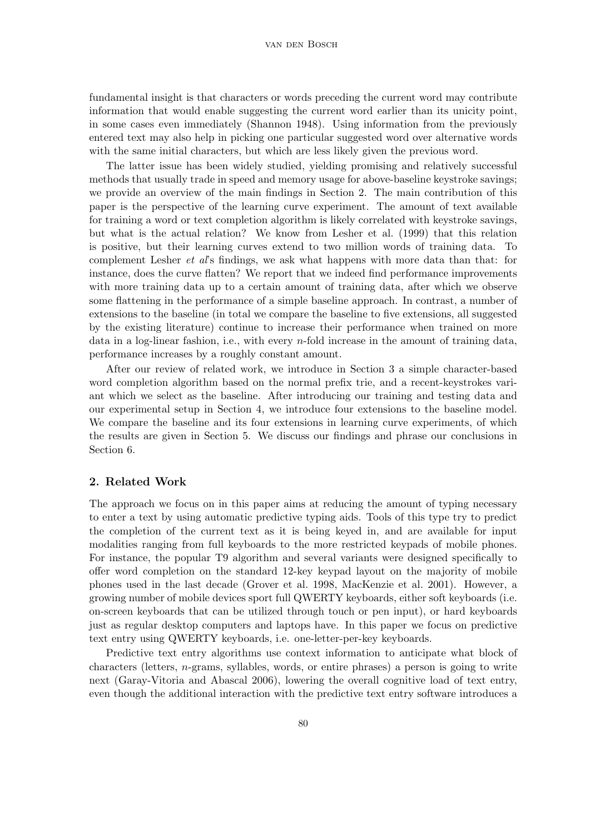fundamental insight is that characters or words preceding the current word may contribute information that would enable suggesting the current word earlier than its unicity point, in some cases even immediately (Shannon 1948). Using information from the previously entered text may also help in picking one particular suggested word over alternative words with the same initial characters, but which are less likely given the previous word.

The latter issue has been widely studied, yielding promising and relatively successful methods that usually trade in speed and memory usage for above-baseline keystroke savings; we provide an overview of the main findings in Section 2. The main contribution of this paper is the perspective of the learning curve experiment. The amount of text available for training a word or text completion algorithm is likely correlated with keystroke savings, but what is the actual relation? We know from Lesher et al. (1999) that this relation is positive, but their learning curves extend to two million words of training data. To complement Lesher et al's findings, we ask what happens with more data than that: for instance, does the curve flatten? We report that we indeed find performance improvements with more training data up to a certain amount of training data, after which we observe some flattening in the performance of a simple baseline approach. In contrast, a number of extensions to the baseline (in total we compare the baseline to five extensions, all suggested by the existing literature) continue to increase their performance when trained on more data in a log-linear fashion, i.e., with every n-fold increase in the amount of training data, performance increases by a roughly constant amount.

After our review of related work, we introduce in Section 3 a simple character-based word completion algorithm based on the normal prefix trie, and a recent-keystrokes variant which we select as the baseline. After introducing our training and testing data and our experimental setup in Section 4, we introduce four extensions to the baseline model. We compare the baseline and its four extensions in learning curve experiments, of which the results are given in Section 5. We discuss our findings and phrase our conclusions in Section 6.

# 2. Related Work

The approach we focus on in this paper aims at reducing the amount of typing necessary to enter a text by using automatic predictive typing aids. Tools of this type try to predict the completion of the current text as it is being keyed in, and are available for input modalities ranging from full keyboards to the more restricted keypads of mobile phones. For instance, the popular T9 algorithm and several variants were designed specifically to offer word completion on the standard 12-key keypad layout on the majority of mobile phones used in the last decade (Grover et al. 1998, MacKenzie et al. 2001). However, a growing number of mobile devices sport full QWERTY keyboards, either soft keyboards (i.e. on-screen keyboards that can be utilized through touch or pen input), or hard keyboards just as regular desktop computers and laptops have. In this paper we focus on predictive text entry using QWERTY keyboards, i.e. one-letter-per-key keyboards.

Predictive text entry algorithms use context information to anticipate what block of characters (letters,  $n$ -grams, syllables, words, or entire phrases) a person is going to write next (Garay-Vitoria and Abascal 2006), lowering the overall cognitive load of text entry, even though the additional interaction with the predictive text entry software introduces a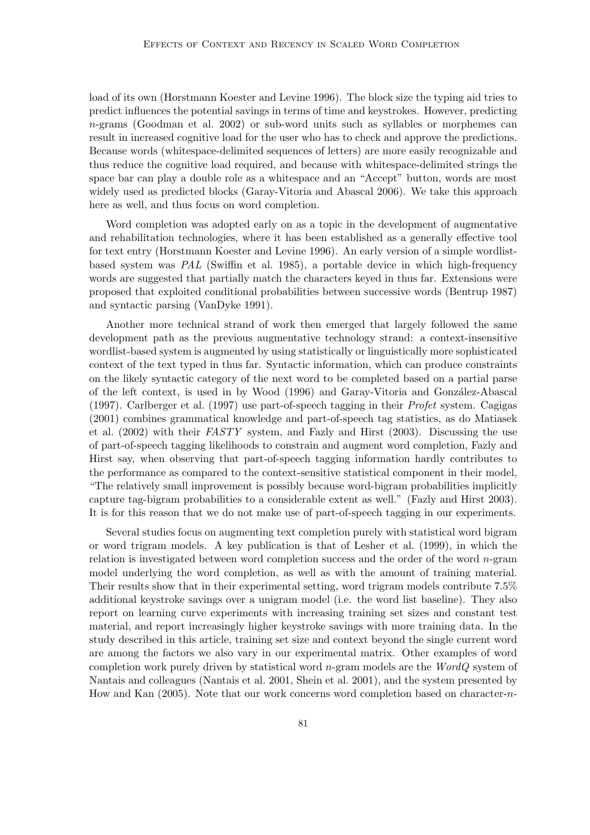load of its own (Horstmann Koester and Levine 1996). The block size the typing aid tries to predict influences the potential savings in terms of time and keystrokes. However, predicting n-grams (Goodman et al. 2002) or sub-word units such as syllables or morphemes can result in increased cognitive load for the user who has to check and approve the predictions. Because words (whitespace-delimited sequences of letters) are more easily recognizable and thus reduce the cognitive load required, and because with whitespace-delimited strings the space bar can play a double role as a whitespace and an "Accept" button, words are most widely used as predicted blocks (Garay-Vitoria and Abascal 2006). We take this approach here as well, and thus focus on word completion.

Word completion was adopted early on as a topic in the development of augmentative and rehabilitation technologies, where it has been established as a generally effective tool for text entry (Horstmann Koester and Levine 1996). An early version of a simple wordlistbased system was PAL (Swiffin et al. 1985), a portable device in which high-frequency words are suggested that partially match the characters keyed in thus far. Extensions were proposed that exploited conditional probabilities between successive words (Bentrup 1987) and syntactic parsing (VanDyke 1991).

Another more technical strand of work then emerged that largely followed the same development path as the previous augmentative technology strand: a context-insensitive wordlist-based system is augmented by using statistically or linguistically more sophisticated context of the text typed in thus far. Syntactic information, which can produce constraints on the likely syntactic category of the next word to be completed based on a partial parse of the left context, is used in by Wood (1996) and Garay-Vitoria and González-Abascal (1997). Carlberger et al. (1997) use part-of-speech tagging in their Profet system. Cagigas (2001) combines grammatical knowledge and part-of-speech tag statistics, as do Matiasek et al. (2002) with their FASTY system, and Fazly and Hirst (2003). Discussing the use of part-of-speech tagging likelihoods to constrain and augment word completion, Fazly and Hirst say, when observing that part-of-speech tagging information hardly contributes to the performance as compared to the context-sensitive statistical component in their model, "The relatively small improvement is possibly because word-bigram probabilities implicitly capture tag-bigram probabilities to a considerable extent as well." (Fazly and Hirst 2003). It is for this reason that we do not make use of part-of-speech tagging in our experiments.

Several studies focus on augmenting text completion purely with statistical word bigram or word trigram models. A key publication is that of Lesher et al. (1999), in which the relation is investigated between word completion success and the order of the word n-gram model underlying the word completion, as well as with the amount of training material. Their results show that in their experimental setting, word trigram models contribute 7.5% additional keystroke savings over a unigram model (i.e. the word list baseline). They also report on learning curve experiments with increasing training set sizes and constant test material, and report increasingly higher keystroke savings with more training data. In the study described in this article, training set size and context beyond the single current word are among the factors we also vary in our experimental matrix. Other examples of word completion work purely driven by statistical word  $n$ -gram models are the WordQ system of Nantais and colleagues (Nantais et al. 2001, Shein et al. 2001), and the system presented by How and Kan  $(2005)$ . Note that our work concerns word completion based on character-n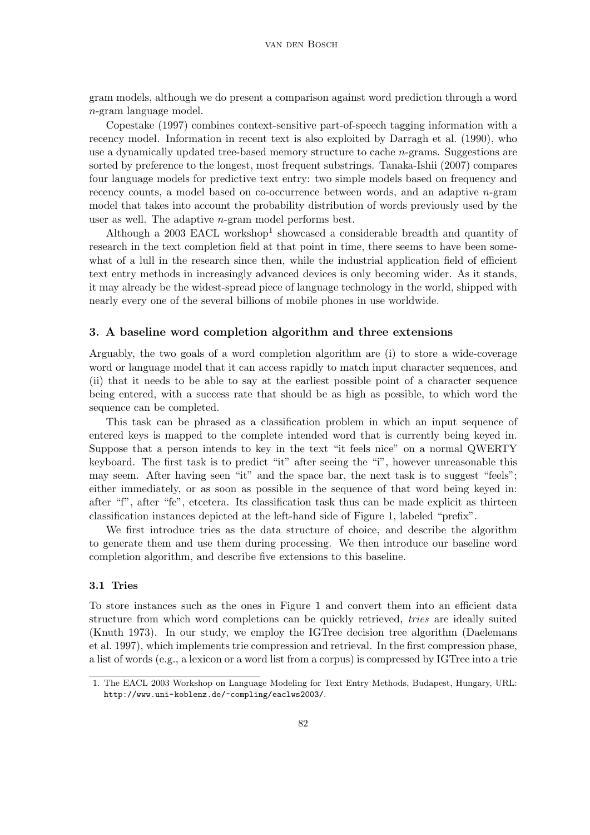gram models, although we do present a comparison against word prediction through a word n-gram language model.

Copestake (1997) combines context-sensitive part-of-speech tagging information with a recency model. Information in recent text is also exploited by Darragh et al. (1990), who use a dynamically updated tree-based memory structure to cache n-grams. Suggestions are sorted by preference to the longest, most frequent substrings. Tanaka-Ishii (2007) compares four language models for predictive text entry: two simple models based on frequency and recency counts, a model based on co-occurrence between words, and an adaptive n-gram model that takes into account the probability distribution of words previously used by the user as well. The adaptive n-gram model performs best.

Although a  $2003$  EACL workshop<sup>1</sup> showcased a considerable breadth and quantity of research in the text completion field at that point in time, there seems to have been somewhat of a lull in the research since then, while the industrial application field of efficient text entry methods in increasingly advanced devices is only becoming wider. As it stands, it may already be the widest-spread piece of language technology in the world, shipped with nearly every one of the several billions of mobile phones in use worldwide.

### 3. A baseline word completion algorithm and three extensions

Arguably, the two goals of a word completion algorithm are (i) to store a wide-coverage word or language model that it can access rapidly to match input character sequences, and (ii) that it needs to be able to say at the earliest possible point of a character sequence being entered, with a success rate that should be as high as possible, to which word the sequence can be completed.

This task can be phrased as a classification problem in which an input sequence of entered keys is mapped to the complete intended word that is currently being keyed in. Suppose that a person intends to key in the text "it feels nice" on a normal QWERTY keyboard. The first task is to predict "it" after seeing the "i", however unreasonable this may seem. After having seen "it" and the space bar, the next task is to suggest "feels"; either immediately, or as soon as possible in the sequence of that word being keyed in: after "f", after "fe", etcetera. Its classification task thus can be made explicit as thirteen classification instances depicted at the left-hand side of Figure 1, labeled "prefix".

We first introduce tries as the data structure of choice, and describe the algorithm to generate them and use them during processing. We then introduce our baseline word completion algorithm, and describe five extensions to this baseline.

# 3.1 Tries

To store instances such as the ones in Figure 1 and convert them into an efficient data structure from which word completions can be quickly retrieved, tries are ideally suited (Knuth 1973). In our study, we employ the IGTree decision tree algorithm (Daelemans et al. 1997), which implements trie compression and retrieval. In the first compression phase, a list of words (e.g., a lexicon or a word list from a corpus) is compressed by IGTree into a trie

<sup>1.</sup> The EACL 2003 Workshop on Language Modeling for Text Entry Methods, Budapest, Hungary, URL: http://www.uni-koblenz.de/~compling/eaclws2003/.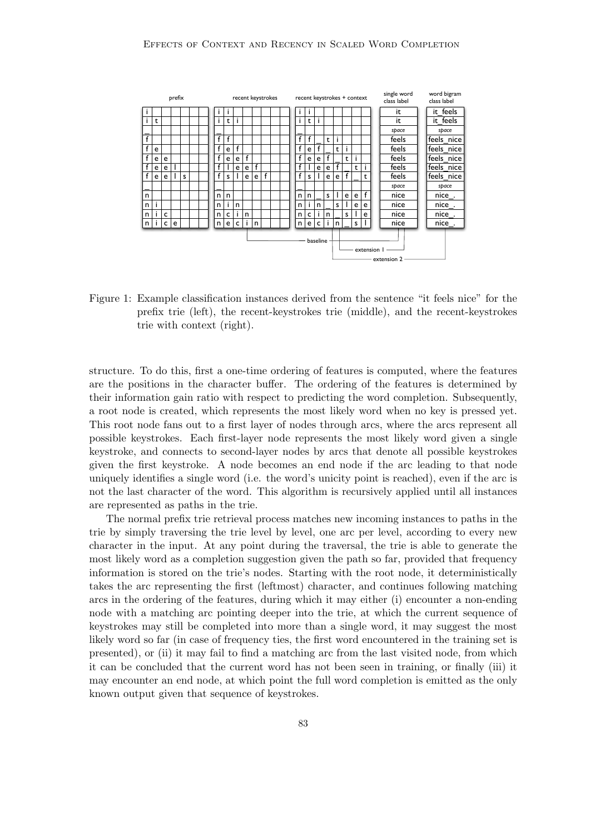

Figure 1: Example classification instances derived from the sentence "it feels nice" for the prefix trie (left), the recent-keystrokes trie (middle), and the recent-keystrokes trie with context (right).

structure. To do this, first a one-time ordering of features is computed, where the features are the positions in the character buffer. The ordering of the features is determined by their information gain ratio with respect to predicting the word completion. Subsequently, a root node is created, which represents the most likely word when no key is pressed yet. This root node fans out to a first layer of nodes through arcs, where the arcs represent all possible keystrokes. Each first-layer node represents the most likely word given a single keystroke, and connects to second-layer nodes by arcs that denote all possible keystrokes given the first keystroke. A node becomes an end node if the arc leading to that node uniquely identifies a single word (i.e. the word's unicity point is reached), even if the arc is not the last character of the word. This algorithm is recursively applied until all instances are represented as paths in the trie.

The normal prefix trie retrieval process matches new incoming instances to paths in the trie by simply traversing the trie level by level, one arc per level, according to every new character in the input. At any point during the traversal, the trie is able to generate the most likely word as a completion suggestion given the path so far, provided that frequency information is stored on the trie's nodes. Starting with the root node, it deterministically takes the arc representing the first (leftmost) character, and continues following matching arcs in the ordering of the features, during which it may either (i) encounter a non-ending node with a matching arc pointing deeper into the trie, at which the current sequence of keystrokes may still be completed into more than a single word, it may suggest the most likely word so far (in case of frequency ties, the first word encountered in the training set is presented), or (ii) it may fail to find a matching arc from the last visited node, from which it can be concluded that the current word has not been seen in training, or finally (iii) it may encounter an end node, at which point the full word completion is emitted as the only known output given that sequence of keystrokes.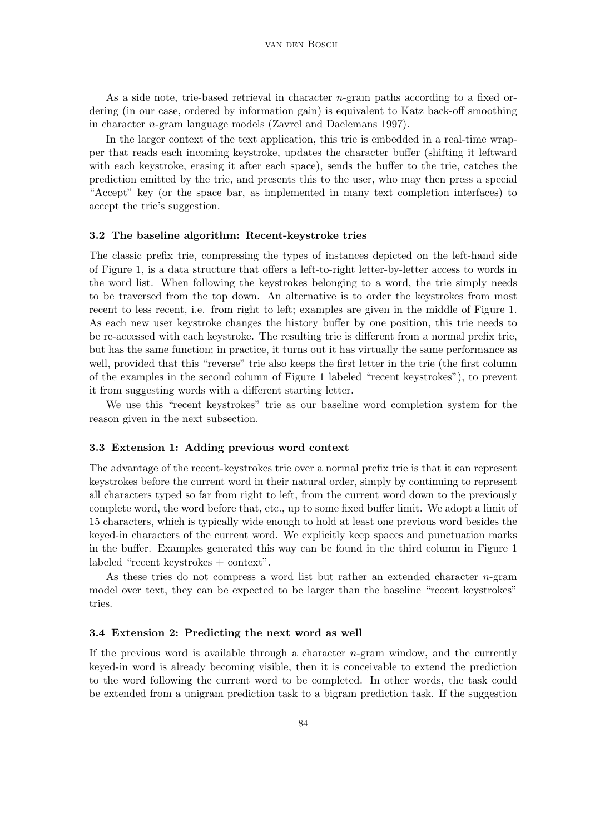As a side note, trie-based retrieval in character  $n$ -gram paths according to a fixed ordering (in our case, ordered by information gain) is equivalent to Katz back-off smoothing in character n-gram language models (Zavrel and Daelemans 1997).

In the larger context of the text application, this trie is embedded in a real-time wrapper that reads each incoming keystroke, updates the character buffer (shifting it leftward with each keystroke, erasing it after each space), sends the buffer to the trie, catches the prediction emitted by the trie, and presents this to the user, who may then press a special "Accept" key (or the space bar, as implemented in many text completion interfaces) to accept the trie's suggestion.

#### 3.2 The baseline algorithm: Recent-keystroke tries

The classic prefix trie, compressing the types of instances depicted on the left-hand side of Figure 1, is a data structure that offers a left-to-right letter-by-letter access to words in the word list. When following the keystrokes belonging to a word, the trie simply needs to be traversed from the top down. An alternative is to order the keystrokes from most recent to less recent, i.e. from right to left; examples are given in the middle of Figure 1. As each new user keystroke changes the history buffer by one position, this trie needs to be re-accessed with each keystroke. The resulting trie is different from a normal prefix trie, but has the same function; in practice, it turns out it has virtually the same performance as well, provided that this "reverse" trie also keeps the first letter in the trie (the first column of the examples in the second column of Figure 1 labeled "recent keystrokes"), to prevent it from suggesting words with a different starting letter.

We use this "recent keystrokes" trie as our baseline word completion system for the reason given in the next subsection.

#### 3.3 Extension 1: Adding previous word context

The advantage of the recent-keystrokes trie over a normal prefix trie is that it can represent keystrokes before the current word in their natural order, simply by continuing to represent all characters typed so far from right to left, from the current word down to the previously complete word, the word before that, etc., up to some fixed buffer limit. We adopt a limit of 15 characters, which is typically wide enough to hold at least one previous word besides the keyed-in characters of the current word. We explicitly keep spaces and punctuation marks in the buffer. Examples generated this way can be found in the third column in Figure 1 labeled "recent keystrokes + context".

As these tries do not compress a word list but rather an extended character n-gram model over text, they can be expected to be larger than the baseline "recent keystrokes" tries.

### 3.4 Extension 2: Predicting the next word as well

If the previous word is available through a character  $n$ -gram window, and the currently keyed-in word is already becoming visible, then it is conceivable to extend the prediction to the word following the current word to be completed. In other words, the task could be extended from a unigram prediction task to a bigram prediction task. If the suggestion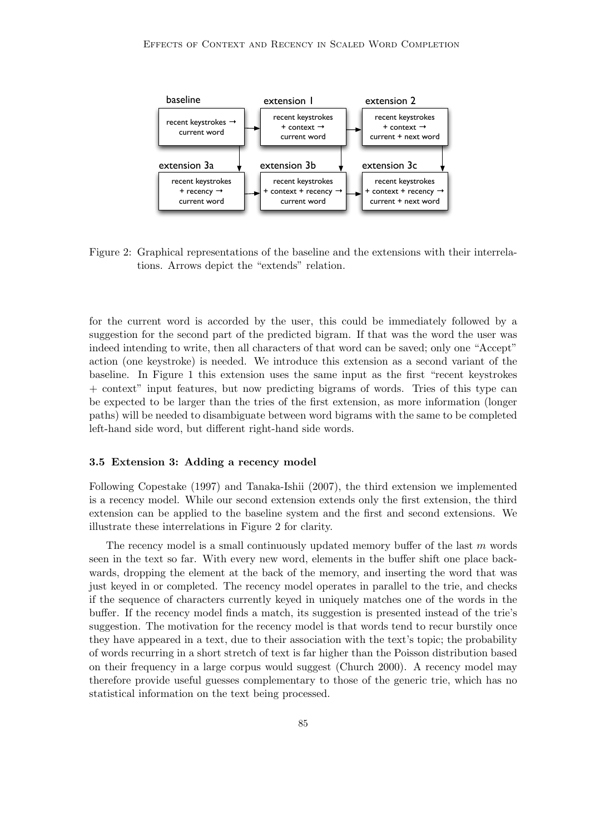

Figure 2: Graphical representations of the baseline and the extensions with their interrelations. Arrows depict the "extends" relation.

for the current word is accorded by the user, this could be immediately followed by a suggestion for the second part of the predicted bigram. If that was the word the user was indeed intending to write, then all characters of that word can be saved; only one "Accept" action (one keystroke) is needed. We introduce this extension as a second variant of the baseline. In Figure 1 this extension uses the same input as the first "recent keystrokes + context" input features, but now predicting bigrams of words. Tries of this type can be expected to be larger than the tries of the first extension, as more information (longer paths) will be needed to disambiguate between word bigrams with the same to be completed left-hand side word, but different right-hand side words.

### 3.5 Extension 3: Adding a recency model

Following Copestake (1997) and Tanaka-Ishii (2007), the third extension we implemented is a recency model. While our second extension extends only the first extension, the third extension can be applied to the baseline system and the first and second extensions. We illustrate these interrelations in Figure 2 for clarity.

The recency model is a small continuously updated memory buffer of the last  $m$  words seen in the text so far. With every new word, elements in the buffer shift one place backwards, dropping the element at the back of the memory, and inserting the word that was just keyed in or completed. The recency model operates in parallel to the trie, and checks if the sequence of characters currently keyed in uniquely matches one of the words in the buffer. If the recency model finds a match, its suggestion is presented instead of the trie's suggestion. The motivation for the recency model is that words tend to recur burstily once they have appeared in a text, due to their association with the text's topic; the probability of words recurring in a short stretch of text is far higher than the Poisson distribution based on their frequency in a large corpus would suggest (Church 2000). A recency model may therefore provide useful guesses complementary to those of the generic trie, which has no statistical information on the text being processed.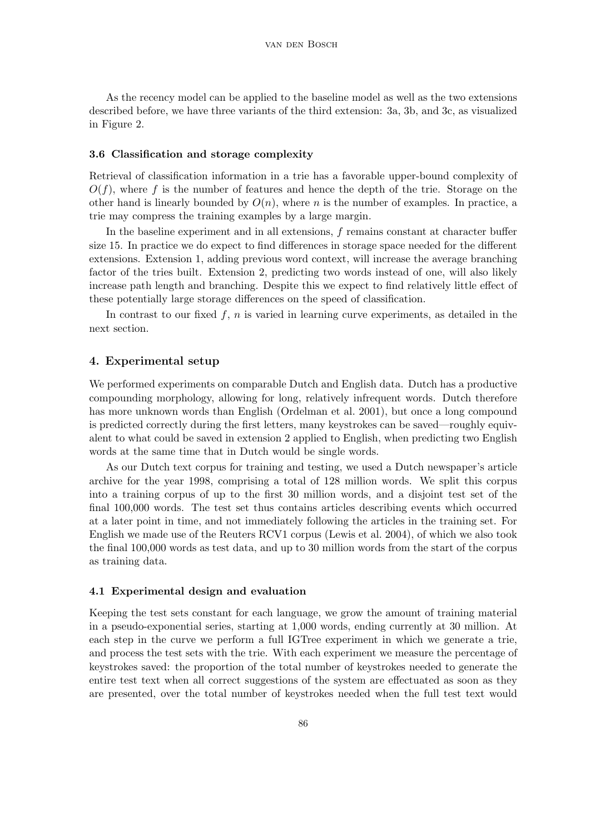As the recency model can be applied to the baseline model as well as the two extensions described before, we have three variants of the third extension: 3a, 3b, and 3c, as visualized in Figure 2.

#### 3.6 Classification and storage complexity

Retrieval of classification information in a trie has a favorable upper-bound complexity of  $O(f)$ , where f is the number of features and hence the depth of the trie. Storage on the other hand is linearly bounded by  $O(n)$ , where n is the number of examples. In practice, a trie may compress the training examples by a large margin.

In the baseline experiment and in all extensions, f remains constant at character buffer size 15. In practice we do expect to find differences in storage space needed for the different extensions. Extension 1, adding previous word context, will increase the average branching factor of the tries built. Extension 2, predicting two words instead of one, will also likely increase path length and branching. Despite this we expect to find relatively little effect of these potentially large storage differences on the speed of classification.

In contrast to our fixed  $f, n$  is varied in learning curve experiments, as detailed in the next section.

### 4. Experimental setup

We performed experiments on comparable Dutch and English data. Dutch has a productive compounding morphology, allowing for long, relatively infrequent words. Dutch therefore has more unknown words than English (Ordelman et al. 2001), but once a long compound is predicted correctly during the first letters, many keystrokes can be saved—roughly equivalent to what could be saved in extension 2 applied to English, when predicting two English words at the same time that in Dutch would be single words.

As our Dutch text corpus for training and testing, we used a Dutch newspaper's article archive for the year 1998, comprising a total of 128 million words. We split this corpus into a training corpus of up to the first 30 million words, and a disjoint test set of the final 100,000 words. The test set thus contains articles describing events which occurred at a later point in time, and not immediately following the articles in the training set. For English we made use of the Reuters RCV1 corpus (Lewis et al. 2004), of which we also took the final 100,000 words as test data, and up to 30 million words from the start of the corpus as training data.

### 4.1 Experimental design and evaluation

Keeping the test sets constant for each language, we grow the amount of training material in a pseudo-exponential series, starting at 1,000 words, ending currently at 30 million. At each step in the curve we perform a full IGTree experiment in which we generate a trie, and process the test sets with the trie. With each experiment we measure the percentage of keystrokes saved: the proportion of the total number of keystrokes needed to generate the entire test text when all correct suggestions of the system are effectuated as soon as they are presented, over the total number of keystrokes needed when the full test text would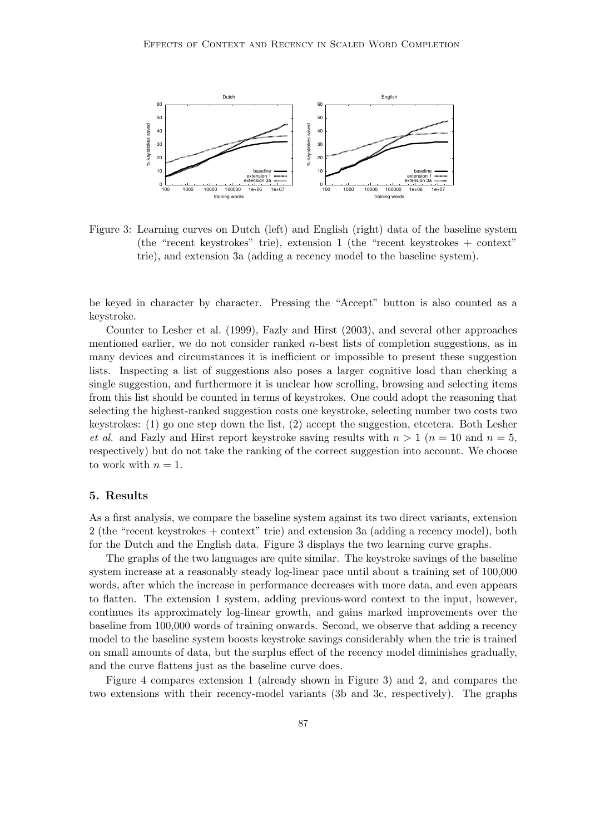

Figure 3: Learning curves on Dutch (left) and English (right) data of the baseline system (the "recent keystrokes" trie), extension 1 (the "recent keystrokes + context" trie), and extension 3a (adding a recency model to the baseline system).

be keyed in character by character. Pressing the "Accept" button is also counted as a keystroke.

Counter to Lesher et al. (1999), Fazly and Hirst (2003), and several other approaches mentioned earlier, we do not consider ranked n-best lists of completion suggestions, as in many devices and circumstances it is inefficient or impossible to present these suggestion lists. Inspecting a list of suggestions also poses a larger cognitive load than checking a single suggestion, and furthermore it is unclear how scrolling, browsing and selecting items from this list should be counted in terms of keystrokes. One could adopt the reasoning that selecting the highest-ranked suggestion costs one keystroke, selecting number two costs two keystrokes: (1) go one step down the list, (2) accept the suggestion, etcetera. Both Lesher et al. and Fazly and Hirst report keystroke saving results with  $n > 1$  ( $n = 10$  and  $n = 5$ , respectively) but do not take the ranking of the correct suggestion into account. We choose to work with  $n = 1$ .

# 5. Results

As a first analysis, we compare the baseline system against its two direct variants, extension 2 (the "recent keystrokes + context" trie) and extension 3a (adding a recency model), both for the Dutch and the English data. Figure 3 displays the two learning curve graphs.

The graphs of the two languages are quite similar. The keystroke savings of the baseline system increase at a reasonably steady log-linear pace until about a training set of 100,000 words, after which the increase in performance decreases with more data, and even appears to flatten. The extension 1 system, adding previous-word context to the input, however, continues its approximately log-linear growth, and gains marked improvements over the baseline from 100,000 words of training onwards. Second, we observe that adding a recency model to the baseline system boosts keystroke savings considerably when the trie is trained on small amounts of data, but the surplus effect of the recency model diminishes gradually, and the curve flattens just as the baseline curve does.

Figure 4 compares extension 1 (already shown in Figure 3) and 2, and compares the two extensions with their recency-model variants (3b and 3c, respectively). The graphs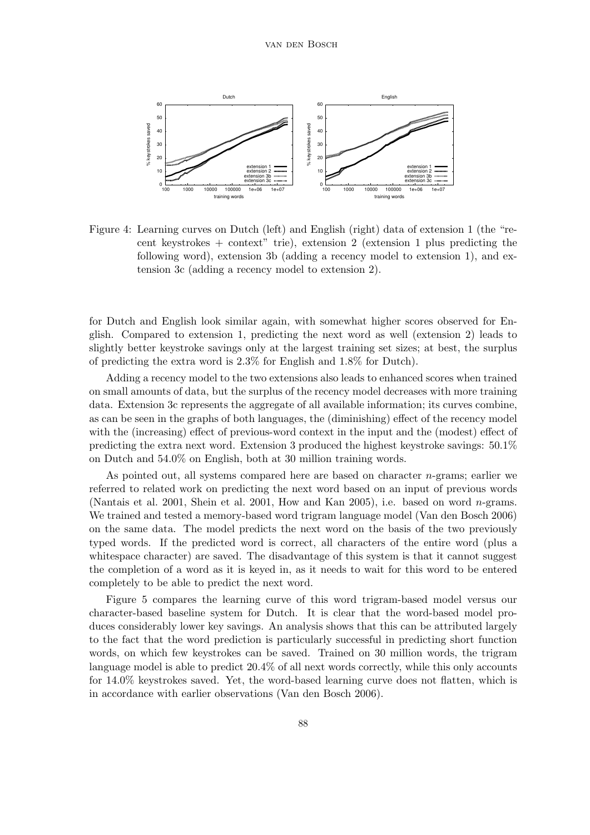

Figure 4: Learning curves on Dutch (left) and English (right) data of extension 1 (the "recent keystrokes + context" trie), extension 2 (extension 1 plus predicting the following word), extension 3b (adding a recency model to extension 1), and extension 3c (adding a recency model to extension 2).

for Dutch and English look similar again, with somewhat higher scores observed for English. Compared to extension 1, predicting the next word as well (extension 2) leads to slightly better keystroke savings only at the largest training set sizes; at best, the surplus of predicting the extra word is 2.3% for English and 1.8% for Dutch).

Adding a recency model to the two extensions also leads to enhanced scores when trained on small amounts of data, but the surplus of the recency model decreases with more training data. Extension 3c represents the aggregate of all available information; its curves combine, as can be seen in the graphs of both languages, the (diminishing) effect of the recency model with the (increasing) effect of previous-word context in the input and the (modest) effect of predicting the extra next word. Extension 3 produced the highest keystroke savings: 50.1% on Dutch and 54.0% on English, both at 30 million training words.

As pointed out, all systems compared here are based on character  $n$ -grams; earlier we referred to related work on predicting the next word based on an input of previous words (Nantais et al. 2001, Shein et al. 2001, How and Kan 2005), i.e. based on word  $n$ -grams. We trained and tested a memory-based word trigram language model (Van den Bosch 2006) on the same data. The model predicts the next word on the basis of the two previously typed words. If the predicted word is correct, all characters of the entire word (plus a whitespace character) are saved. The disadvantage of this system is that it cannot suggest the completion of a word as it is keyed in, as it needs to wait for this word to be entered completely to be able to predict the next word.

Figure 5 compares the learning curve of this word trigram-based model versus our character-based baseline system for Dutch. It is clear that the word-based model produces considerably lower key savings. An analysis shows that this can be attributed largely to the fact that the word prediction is particularly successful in predicting short function words, on which few keystrokes can be saved. Trained on 30 million words, the trigram language model is able to predict 20.4% of all next words correctly, while this only accounts for 14.0% keystrokes saved. Yet, the word-based learning curve does not flatten, which is in accordance with earlier observations (Van den Bosch 2006).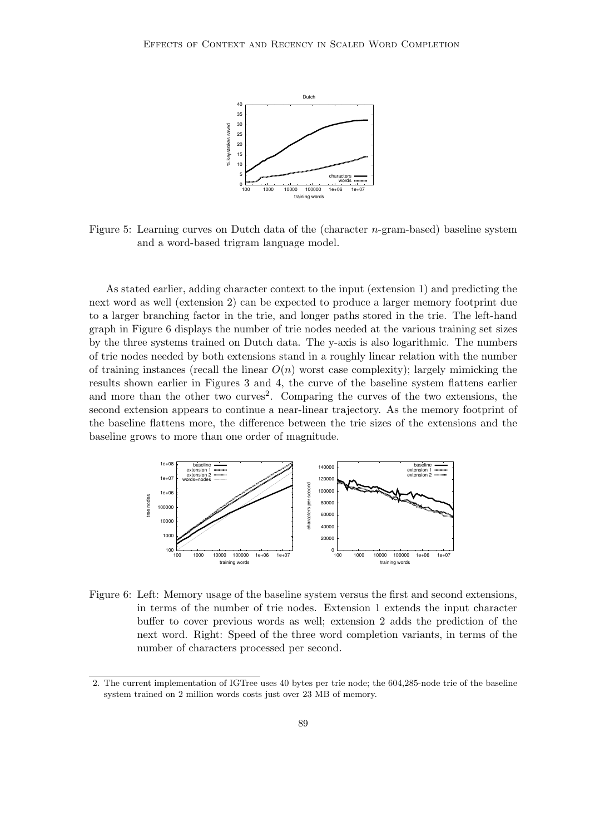

Figure 5: Learning curves on Dutch data of the (character n-gram-based) baseline system and a word-based trigram language model.

As stated earlier, adding character context to the input (extension 1) and predicting the next word as well (extension 2) can be expected to produce a larger memory footprint due to a larger branching factor in the trie, and longer paths stored in the trie. The left-hand graph in Figure 6 displays the number of trie nodes needed at the various training set sizes by the three systems trained on Dutch data. The y-axis is also logarithmic. The numbers of trie nodes needed by both extensions stand in a roughly linear relation with the number of training instances (recall the linear  $O(n)$  worst case complexity); largely mimicking the results shown earlier in Figures 3 and 4, the curve of the baseline system flattens earlier and more than the other two curves<sup>2</sup>. Comparing the curves of the two extensions, the second extension appears to continue a near-linear trajectory. As the memory footprint of the baseline flattens more, the difference between the trie sizes of the extensions and the baseline grows to more than one order of magnitude.



Figure 6: Left: Memory usage of the baseline system versus the first and second extensions, in terms of the number of trie nodes. Extension 1 extends the input character buffer to cover previous words as well; extension 2 adds the prediction of the next word. Right: Speed of the three word completion variants, in terms of the number of characters processed per second.

<sup>2.</sup> The current implementation of IGTree uses 40 bytes per trie node; the 604,285-node trie of the baseline system trained on 2 million words costs just over 23 MB of memory.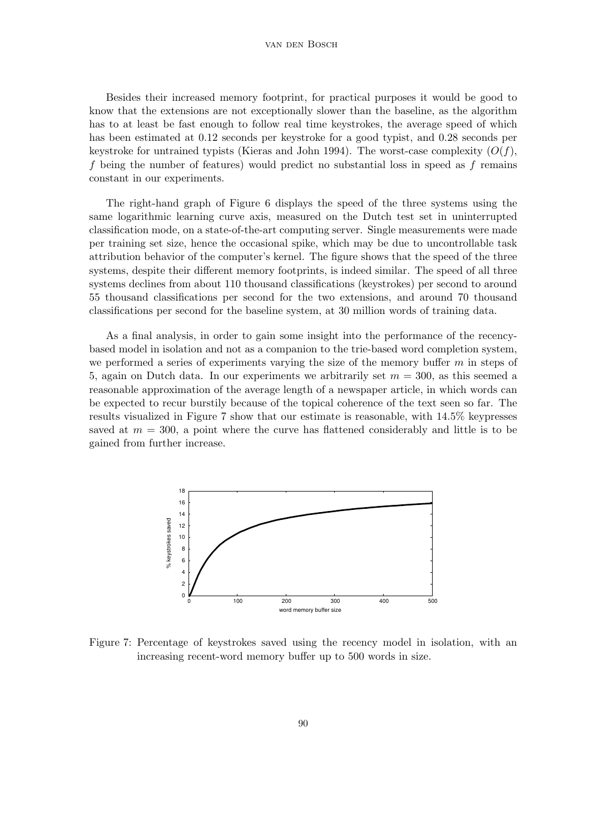#### van den Bosch

Besides their increased memory footprint, for practical purposes it would be good to know that the extensions are not exceptionally slower than the baseline, as the algorithm has to at least be fast enough to follow real time keystrokes, the average speed of which has been estimated at 0.12 seconds per keystroke for a good typist, and 0.28 seconds per keystroke for untrained typists (Kieras and John 1994). The worst-case complexity  $(O(f),$ f being the number of features) would predict no substantial loss in speed as f remains constant in our experiments.

The right-hand graph of Figure 6 displays the speed of the three systems using the same logarithmic learning curve axis, measured on the Dutch test set in uninterrupted classification mode, on a state-of-the-art computing server. Single measurements were made per training set size, hence the occasional spike, which may be due to uncontrollable task attribution behavior of the computer's kernel. The figure shows that the speed of the three systems, despite their different memory footprints, is indeed similar. The speed of all three systems declines from about 110 thousand classifications (keystrokes) per second to around 55 thousand classifications per second for the two extensions, and around 70 thousand classifications per second for the baseline system, at 30 million words of training data.

As a final analysis, in order to gain some insight into the performance of the recencybased model in isolation and not as a companion to the trie-based word completion system, we performed a series of experiments varying the size of the memory buffer  $m$  in steps of 5, again on Dutch data. In our experiments we arbitrarily set  $m = 300$ , as this seemed a reasonable approximation of the average length of a newspaper article, in which words can be expected to recur burstily because of the topical coherence of the text seen so far. The results visualized in Figure 7 show that our estimate is reasonable, with 14.5% keypresses saved at  $m = 300$ , a point where the curve has flattened considerably and little is to be gained from further increase.



Figure 7: Percentage of keystrokes saved using the recency model in isolation, with an increasing recent-word memory buffer up to 500 words in size.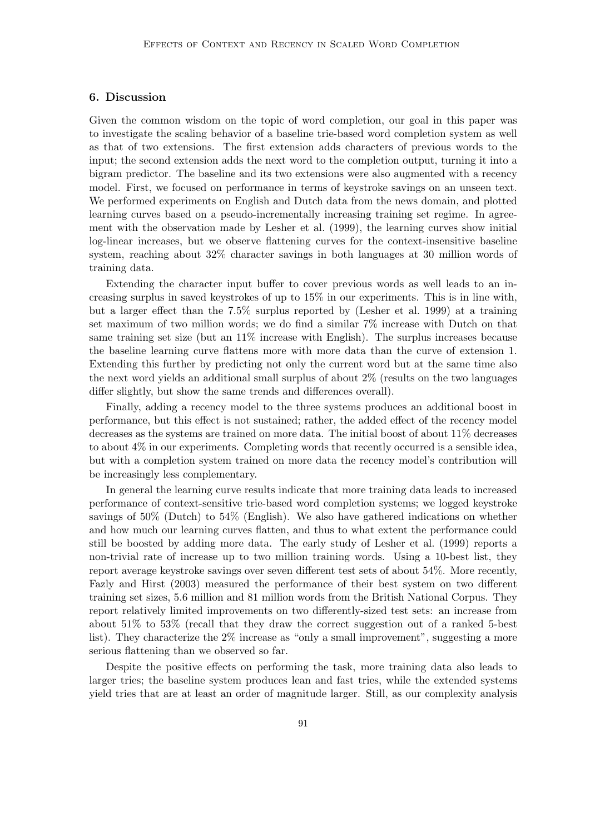### 6. Discussion

Given the common wisdom on the topic of word completion, our goal in this paper was to investigate the scaling behavior of a baseline trie-based word completion system as well as that of two extensions. The first extension adds characters of previous words to the input; the second extension adds the next word to the completion output, turning it into a bigram predictor. The baseline and its two extensions were also augmented with a recency model. First, we focused on performance in terms of keystroke savings on an unseen text. We performed experiments on English and Dutch data from the news domain, and plotted learning curves based on a pseudo-incrementally increasing training set regime. In agreement with the observation made by Lesher et al. (1999), the learning curves show initial log-linear increases, but we observe flattening curves for the context-insensitive baseline system, reaching about 32% character savings in both languages at 30 million words of training data.

Extending the character input buffer to cover previous words as well leads to an increasing surplus in saved keystrokes of up to 15% in our experiments. This is in line with, but a larger effect than the 7.5% surplus reported by (Lesher et al. 1999) at a training set maximum of two million words; we do find a similar 7% increase with Dutch on that same training set size (but an 11% increase with English). The surplus increases because the baseline learning curve flattens more with more data than the curve of extension 1. Extending this further by predicting not only the current word but at the same time also the next word yields an additional small surplus of about 2% (results on the two languages differ slightly, but show the same trends and differences overall).

Finally, adding a recency model to the three systems produces an additional boost in performance, but this effect is not sustained; rather, the added effect of the recency model decreases as the systems are trained on more data. The initial boost of about 11% decreases to about 4% in our experiments. Completing words that recently occurred is a sensible idea, but with a completion system trained on more data the recency model's contribution will be increasingly less complementary.

In general the learning curve results indicate that more training data leads to increased performance of context-sensitive trie-based word completion systems; we logged keystroke savings of 50% (Dutch) to 54% (English). We also have gathered indications on whether and how much our learning curves flatten, and thus to what extent the performance could still be boosted by adding more data. The early study of Lesher et al. (1999) reports a non-trivial rate of increase up to two million training words. Using a 10-best list, they report average keystroke savings over seven different test sets of about 54%. More recently, Fazly and Hirst (2003) measured the performance of their best system on two different training set sizes, 5.6 million and 81 million words from the British National Corpus. They report relatively limited improvements on two differently-sized test sets: an increase from about 51% to 53% (recall that they draw the correct suggestion out of a ranked 5-best list). They characterize the 2% increase as "only a small improvement", suggesting a more serious flattening than we observed so far.

Despite the positive effects on performing the task, more training data also leads to larger tries; the baseline system produces lean and fast tries, while the extended systems yield tries that are at least an order of magnitude larger. Still, as our complexity analysis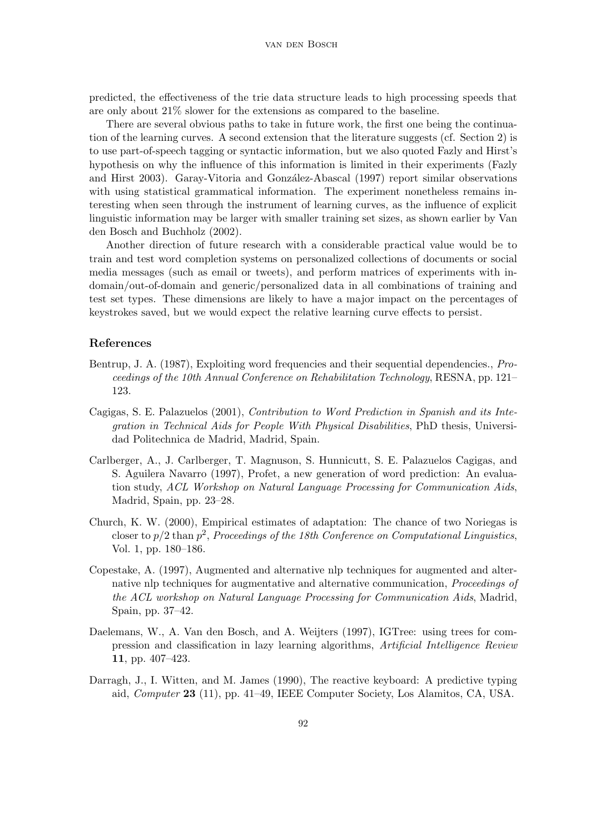predicted, the effectiveness of the trie data structure leads to high processing speeds that are only about 21% slower for the extensions as compared to the baseline.

There are several obvious paths to take in future work, the first one being the continuation of the learning curves. A second extension that the literature suggests (cf. Section 2) is to use part-of-speech tagging or syntactic information, but we also quoted Fazly and Hirst's hypothesis on why the influence of this information is limited in their experiments (Fazly and Hirst 2003). Garay-Vitoria and González-Abascal (1997) report similar observations with using statistical grammatical information. The experiment nonetheless remains interesting when seen through the instrument of learning curves, as the influence of explicit linguistic information may be larger with smaller training set sizes, as shown earlier by Van den Bosch and Buchholz (2002).

Another direction of future research with a considerable practical value would be to train and test word completion systems on personalized collections of documents or social media messages (such as email or tweets), and perform matrices of experiments with indomain/out-of-domain and generic/personalized data in all combinations of training and test set types. These dimensions are likely to have a major impact on the percentages of keystrokes saved, but we would expect the relative learning curve effects to persist.

# References

- Bentrup, J. A. (1987), Exploiting word frequencies and their sequential dependencies., *Pro*ceedings of the 10th Annual Conference on Rehabilitation Technology, RESNA, pp. 121– 123.
- Cagigas, S. E. Palazuelos (2001), Contribution to Word Prediction in Spanish and its Integration in Technical Aids for People With Physical Disabilities, PhD thesis, Universidad Politechnica de Madrid, Madrid, Spain.
- Carlberger, A., J. Carlberger, T. Magnuson, S. Hunnicutt, S. E. Palazuelos Cagigas, and S. Aguilera Navarro (1997), Profet, a new generation of word prediction: An evaluation study, ACL Workshop on Natural Language Processing for Communication Aids, Madrid, Spain, pp. 23–28.
- Church, K. W. (2000), Empirical estimates of adaptation: The chance of two Noriegas is closer to  $p/2$  than  $p^2$ , Proceedings of the 18th Conference on Computational Linguistics, Vol. 1, pp. 180–186.
- Copestake, A. (1997), Augmented and alternative nlp techniques for augmented and alternative nlp techniques for augmentative and alternative communication, *Proceedings of* the ACL workshop on Natural Language Processing for Communication Aids, Madrid, Spain, pp. 37–42.
- Daelemans, W., A. Van den Bosch, and A. Weijters (1997), IGTree: using trees for compression and classification in lazy learning algorithms, Artificial Intelligence Review 11, pp. 407–423.
- Darragh, J., I. Witten, and M. James (1990), The reactive keyboard: A predictive typing aid, Computer 23 (11), pp. 41–49, IEEE Computer Society, Los Alamitos, CA, USA.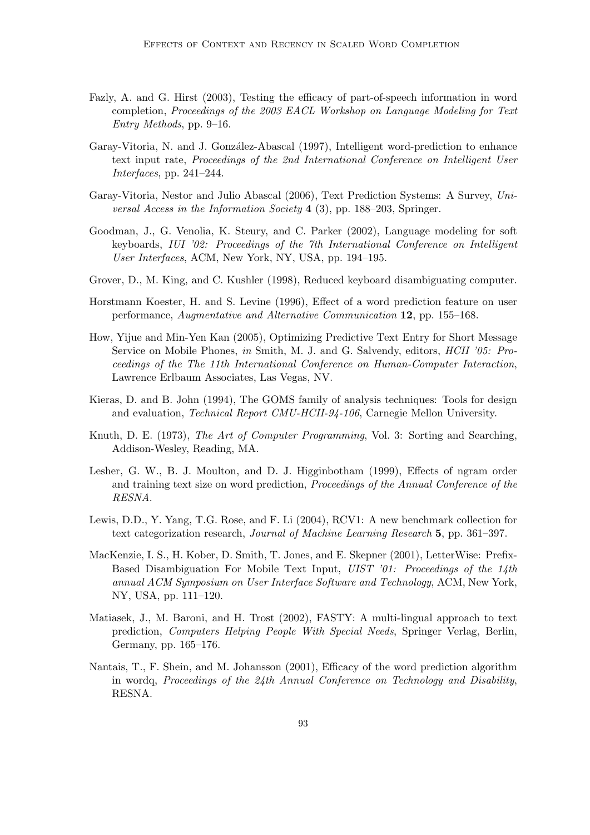- Fazly, A. and G. Hirst (2003), Testing the efficacy of part-of-speech information in word completion, Proceedings of the 2003 EACL Workshop on Language Modeling for Text Entry Methods, pp. 9–16.
- Garay-Vitoria, N. and J. González-Abascal (1997), Intelligent word-prediction to enhance text input rate, Proceedings of the 2nd International Conference on Intelligent User Interfaces, pp. 241–244.
- Garay-Vitoria, Nestor and Julio Abascal (2006), Text Prediction Systems: A Survey, Universal Access in the Information Society 4 (3), pp. 188–203, Springer.
- Goodman, J., G. Venolia, K. Steury, and C. Parker (2002), Language modeling for soft keyboards, IUI '02: Proceedings of the 7th International Conference on Intelligent User Interfaces, ACM, New York, NY, USA, pp. 194–195.
- Grover, D., M. King, and C. Kushler (1998), Reduced keyboard disambiguating computer.
- Horstmann Koester, H. and S. Levine (1996), Effect of a word prediction feature on user performance, Augmentative and Alternative Communication 12, pp. 155–168.
- How, Yijue and Min-Yen Kan (2005), Optimizing Predictive Text Entry for Short Message Service on Mobile Phones, in Smith, M. J. and G. Salvendy, editors, *HCII '05: Pro*ceedings of the The 11th International Conference on Human-Computer Interaction, Lawrence Erlbaum Associates, Las Vegas, NV.
- Kieras, D. and B. John (1994), The GOMS family of analysis techniques: Tools for design and evaluation, Technical Report CMU-HCII-94-106, Carnegie Mellon University.
- Knuth, D. E. (1973), The Art of Computer Programming, Vol. 3: Sorting and Searching, Addison-Wesley, Reading, MA.
- Lesher, G. W., B. J. Moulton, and D. J. Higginbotham (1999), Effects of ngram order and training text size on word prediction, Proceedings of the Annual Conference of the RESNA.
- Lewis, D.D., Y. Yang, T.G. Rose, and F. Li (2004), RCV1: A new benchmark collection for text categorization research, Journal of Machine Learning Research 5, pp. 361–397.
- MacKenzie, I. S., H. Kober, D. Smith, T. Jones, and E. Skepner (2001), LetterWise: Prefix-Based Disambiguation For Mobile Text Input, UIST '01: Proceedings of the 14th annual ACM Symposium on User Interface Software and Technology, ACM, New York, NY, USA, pp. 111–120.
- Matiasek, J., M. Baroni, and H. Trost (2002), FASTY: A multi-lingual approach to text prediction, Computers Helping People With Special Needs, Springer Verlag, Berlin, Germany, pp. 165–176.
- Nantais, T., F. Shein, and M. Johansson (2001), Efficacy of the word prediction algorithm in wordq, Proceedings of the 24th Annual Conference on Technology and Disability, RESNA.